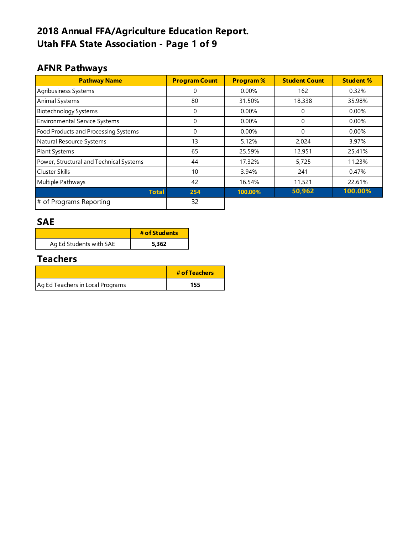# **2018 Annual FFA/Agriculture Education Report. Utah FFA State Association - Page 1 of 9**

### **AFNR Pathways**

| <b>Pathway Name</b>                     | <b>Program Count</b> | <b>Program%</b> | <b>Student Count</b> | <b>Student %</b> |
|-----------------------------------------|----------------------|-----------------|----------------------|------------------|
| Agribusiness Systems                    | 0                    | $0.00\%$        | 162                  | 0.32%            |
| Animal Systems                          | 80                   | 31.50%          | 18,338               | 35.98%           |
| <b>Biotechnology Systems</b>            | 0                    | $0.00\%$        |                      | $0.00\%$         |
| <b>Environmental Service Systems</b>    | 0                    | 0.00%           | $\Omega$             | 0.00%            |
| Food Products and Processing Systems    | 0                    | 0.00%           | $\Omega$             | 0.00%            |
| Natural Resource Systems                | 13                   | 5.12%           | 2,024                | 3.97%            |
| <b>Plant Systems</b>                    | 65                   | 25.59%          | 12,951               | 25.41%           |
| Power, Structural and Technical Systems | 44                   | 17.32%          | 5,725                | 11.23%           |
| <b>Cluster Skills</b>                   | 10                   | 3.94%           | 241                  | 0.47%            |
| Multiple Pathways                       | 42                   | 16.54%          | 11,521               | 22.61%           |
| <b>Total</b>                            | 254                  | 100.00%         | 50,962               | 100.00%          |
| # of Programs Reporting                 | 32                   |                 |                      |                  |

#### **SAE**

|                         | # of Students |
|-------------------------|---------------|
| Ag Ed Students with SAE | 5.362         |

#### **Teachers**

|                                  | # of Teachers |
|----------------------------------|---------------|
| Ag Ed Teachers in Local Programs | 155           |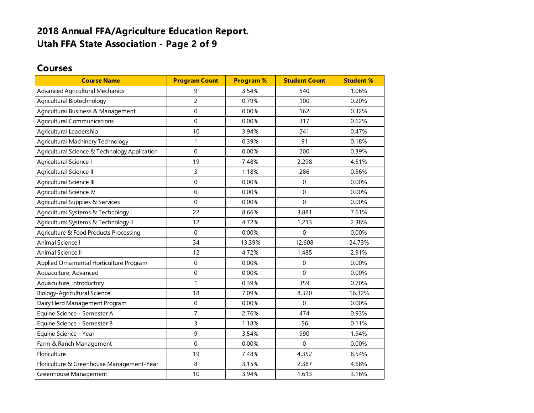### **2018 Annual FFA/Agriculture Education Report. Utah FFA State Association - Page 2 of 9**

#### **Courses**

| <b>Course Name</b>                            | <b>Program Count</b> | <b>Program%</b> | <b>Student Count</b> | <b>Student %</b> |
|-----------------------------------------------|----------------------|-----------------|----------------------|------------------|
| <b>Advanced Agricultural Mechanics</b>        | 9                    | 3.54%           | 540                  | 1.06%            |
| Agricultural Biotechnology                    | $\overline{c}$       | 0.79%           | 100                  | 0.20%            |
| Agricultural Business & Management            | $\mathbf 0$          | 0.00%           | 162                  | 0.32%            |
| <b>Agricultural Communications</b>            | $\mathbf{0}$         | 0.00%           | 317                  | 0.62%            |
| Agricultural Leadership                       | 10                   | 3.94%           | 241                  | 0.47%            |
| Agricultural Machinery Technology             | 1                    | 0.39%           | 91                   | 0.18%            |
| Agricultural Science & Technology Application | $\mathbf 0$          | 0.00%           | 200                  | 0.39%            |
| Agricultural Science I                        | 19                   | 7.48%           | 2,298                | 4.51%            |
| Agricultural Science II                       | 3                    | 1.18%           | 286                  | 0.56%            |
| Agricultural Science III                      | $\mathbf 0$          | 0.00%           | $\mathbf 0$          | 0.00%            |
| Agricultural Science IV                       | $\mathbf 0$          | 0.00%           | $\mathbf{0}$         | 0.00%            |
| Agricultural Supplies & Services              | $\mathbf 0$          | 0.00%           | $\mathbf 0$          | 0.00%            |
| Agricultural Systems & Technology I           | 22                   | 8.66%           | 3,881                | 7.61%            |
| Agricultural Systems & Technology II          | 12                   | 4.72%           | 1,213                | 2.38%            |
| Agriculture & Food Products Processing        | $\mathbf 0$          | 0.00%           | $\Omega$             | 0.00%            |
| Animal Science I                              | 34                   | 13.39%          | 12,608               | 24.73%           |
| Animal Science II                             | 12                   | 4.72%           | 1,485                | 2.91%            |
| Applied Ornamental Horticulture Program       | 0                    | 0.00%           | $\Omega$             | 0.00%            |
| Aquaculture, Advanced                         | $\mathbf{0}$         | 0.00%           | $\Omega$             | 0.00%            |
| Aquaculture, Introductory                     | 1                    | 0.39%           | 359                  | 0.70%            |
| <b>Biology-Agricultural Science</b>           | 18                   | 7.09%           | 8,320                | 16.32%           |
| Dairy Herd Management Program                 | $\boldsymbol{0}$     | 0.00%           | $\Omega$             | 0.00%            |
| Equine Science - Semester A                   | $\overline{7}$       | 2.76%           | 474                  | 0.93%            |
| Equine Science - Semester B                   | 3                    | 1.18%           | 56                   | 0.11%            |
| Equine Science - Year                         | 9                    | 3.54%           | 990                  | 1.94%            |
| Farm & Ranch Management                       | $\mathbf 0$          | 0.00%           | $\mathbf 0$          | 0.00%            |
| Floriculture                                  | 19                   | 7.48%           | 4,352                | 8.54%            |
| Floriculture & Greenhouse Management-Year     | 8                    | 3.15%           | 2,387                | 4.68%            |
| Greenhouse Management                         | 10                   | 3.94%           | 1,613                | 3.16%            |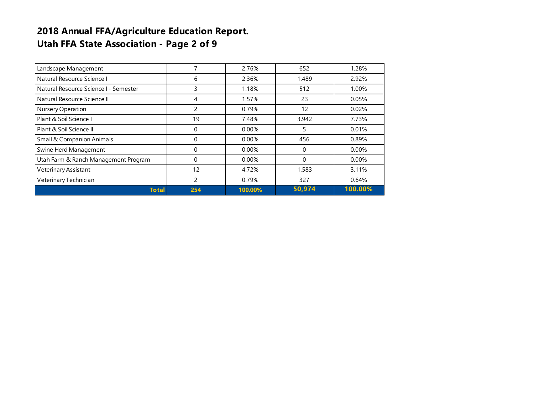### **2018 Annual FFA/Agriculture Education Report. Utah FFA State Association - Page 2 of 9**

| Landscape Management                  | 7        | 2.76%    | 652      | 1.28%   |
|---------------------------------------|----------|----------|----------|---------|
| Natural Resource Science I            | 6        | 2.36%    | 1,489    | 2.92%   |
| Natural Resource Science I - Semester | 3        | 1.18%    | 512      | 1.00%   |
| Natural Resource Science II           | 4        | 1.57%    | 23       | 0.05%   |
| Nursery Operation                     | 2        | 0.79%    | 12       | 0.02%   |
| Plant & Soil Science I                | 19       | 7.48%    | 3,942    | 7.73%   |
| Plant & Soil Science II               | 0        | $0.00\%$ | 5        | 0.01%   |
| <b>Small &amp; Companion Animals</b>  | 0        | 0.00%    | 456      | 0.89%   |
| Swine Herd Management                 | $\Omega$ | $0.00\%$ | 0        | 0.00%   |
| Utah Farm & Ranch Management Program  | 0        | 0.00%    | $\Omega$ | 0.00%   |
| Veterinary Assistant                  | 12       | 4.72%    | 1,583    | 3.11%   |
| Veterinary Technician                 | 2        | 0.79%    | 327      | 0.64%   |
| <b>Total</b>                          | 254      | 100.00%  | 50,974   | 100.00% |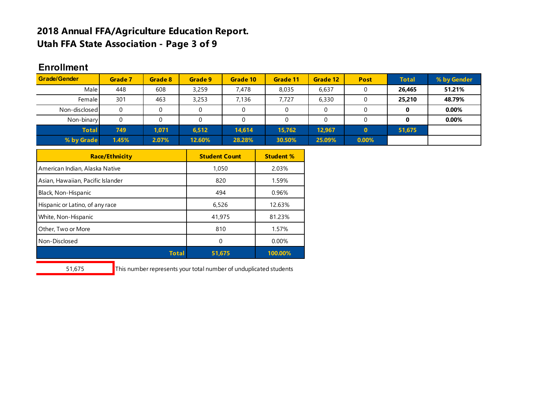#### **2018 Annual FFA/Agriculture Education Report. Utah FFA State Association - Page 3 of 9**

#### **Enrollment Enrollment by**

| <b>Grade/Gender</b> | Grade 7 | Grade 8 | Grade 9 | Grade 10 | Grade 11 | Grade 12 | <b>Post</b>  | <b>Total</b> | % by Gender |
|---------------------|---------|---------|---------|----------|----------|----------|--------------|--------------|-------------|
| Male                | 448     | 608     | 3,259   | 7,478    | 8,035    | 6,637    |              | 26,465       | 51.21%      |
| Female I            | 301     | 463     | 3,253   | 7.136    | 7.727    | 6,330    |              | 25,210       | 48.79%      |
| Non-disclosed       | 0       |         |         |          |          |          |              |              | 0.00%       |
| Non-binary          | 0       |         |         |          |          |          |              |              | $0.00\%$    |
| <b>Total</b>        | 749     | 1.071   | 6,512   | 14.614   | 15.762   | 12.967   | $\mathbf{0}$ | 51,675       |             |
| % by Grade          | 1.45%   | 2.07%   | 12.60%  | 28.28%   | 30.50%   | 25.09%   | 0.00%        |              |             |

| <b>Race/Ethnicity</b>             | <b>Student Count</b> | <b>Student %</b> |
|-----------------------------------|----------------------|------------------|
| American Indian, Alaska Native    | 1,050                | 2.03%            |
| Asian, Hawaiian, Pacific Islander | 820                  | 1.59%            |
| Black, Non-Hispanic               | 494                  | 0.96%            |
| Hispanic or Latino, of any race   | 6.526                | 12.63%           |
| White, Non-Hispanic               | 41,975               | 81.23%           |
| Other, Two or More                | 810                  | 1.57%            |
| Non-Disclosed                     | 0                    | 0.00%            |
| Total                             | 51.675               | 100.00%          |

51,675 This number represents your total number of unduplicated students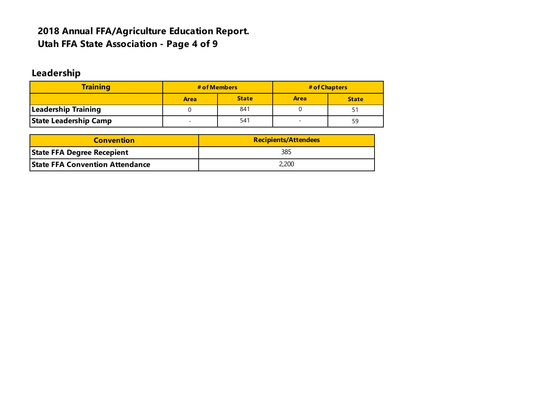### **2018 Annual FFA/Agriculture Education Report. Utah FFA State Association - Page 4 of 9**

# **Leadership**

| <b>Training</b>              | # of Members                    |              |             | # of Chapters |
|------------------------------|---------------------------------|--------------|-------------|---------------|
|                              | <b>Area</b>                     | <b>State</b> | <b>Area</b> | <b>State</b>  |
| <b>Leadership Training</b>   |                                 | 841          |             | 5.            |
| <b>State Leadership Camp</b> | 541<br>$\overline{\phantom{0}}$ |              |             |               |

| <b>Convention</b>                      | <b>Recipients/Attendees</b> |  |  |  |  |
|----------------------------------------|-----------------------------|--|--|--|--|
| <b>State FFA Degree Recepient</b>      | 385                         |  |  |  |  |
| <b>State FFA Convention Attendance</b> | 2,200                       |  |  |  |  |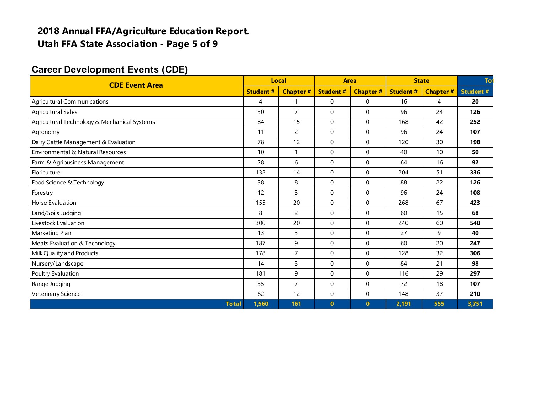### **2018 Annual FFA/Agriculture Education Report. Utah FFA State Association - Page 5 of 9**

#### **Career Development Events (CDE)**

| <b>CDE Event Area</b>                        |                 | Local           |                  | Area            |                 | <b>State</b>    |                 |
|----------------------------------------------|-----------------|-----------------|------------------|-----------------|-----------------|-----------------|-----------------|
|                                              | <b>Student#</b> | <b>Chapter#</b> | <b>Student#</b>  | <b>Chapter#</b> | <b>Student#</b> | <b>Chapter#</b> | <b>Student#</b> |
| <b>Agricultural Communications</b>           | 4               | 1               | $\mathbf 0$      | $\Omega$        | 16              | $\overline{4}$  | 20              |
| <b>Agricultural Sales</b>                    | 30              | $\overline{7}$  | $\boldsymbol{0}$ | $\Omega$        | 96              | 24              | 126             |
| Agricultural Technology & Mechanical Systems | 84              | 15              | 0                | $\mathbf 0$     | 168             | 42              | 252             |
| Agronomy                                     | 11              | $\overline{c}$  | $\mathbf 0$      | $\Omega$        | 96              | 24              | 107             |
| Dairy Cattle Management & Evaluation         | 78              | 12              | $\mathbf 0$      | $\Omega$        | 120             | 30              | 198             |
| Environmental & Natural Resources            | 10              | 1               | $\mathbf 0$      | $\Omega$        | 40              | 10              | 50              |
| Farm & Agribusiness Management               | 28              | 6               | $\mathbf 0$      | $\Omega$        | 64              | 16              | 92              |
| Floriculture                                 | 132             | 14              | $\mathbf 0$      | $\Omega$        | 204             | 51              | 336             |
| Food Science & Technology                    | 38              | 8               | $\mathbf 0$      | $\Omega$        | 88              | 22              | 126             |
| Forestry                                     | 12              | 3               | $\mathbf 0$      | $\Omega$        | 96              | 24              | 108             |
| <b>Horse Evaluation</b>                      | 155             | 20              | $\mathbf 0$      | $\Omega$        | 268             | 67              | 423             |
| Land/Soils Judging                           | 8               | $\overline{c}$  | $\mathbf 0$      | $\Omega$        | 60              | 15              | 68              |
| Livestock Evaluation                         | 300             | 20              | $\mathbf 0$      | $\Omega$        | 240             | 60              | 540             |
| Marketing Plan                               | 13              | 3               | $\Omega$         | $\Omega$        | 27              | 9               | 40              |
| Meats Evaluation & Technology                | 187             | 9               | $\mathbf 0$      | $\Omega$        | 60              | 20              | 247             |
| Milk Quality and Products                    | 178             | $\overline{7}$  | $\mathbf 0$      | $\Omega$        | 128             | 32              | 306             |
| Nursery/Landscape                            | 14              | 3               | $\Omega$         | $\Omega$        | 84              | 21              | 98              |
| Poultry Evaluation                           | 181             | 9               | $\mathbf 0$      | $\mathbf 0$     | 116             | 29              | 297             |
| Range Judging                                | 35              | $\overline{7}$  | $\mathbf 0$      | $\mathbf 0$     | 72              | 18              | 107             |
| Veterinary Science                           | 62              | 12              | $\mathbf 0$      | $\Omega$        | 148             | 37              | 210             |
| <b>Total</b>                                 | 1,560           | 161             | $\mathbf{0}$     | $\mathbf{0}$    | 2,191           | 555             | 3,751           |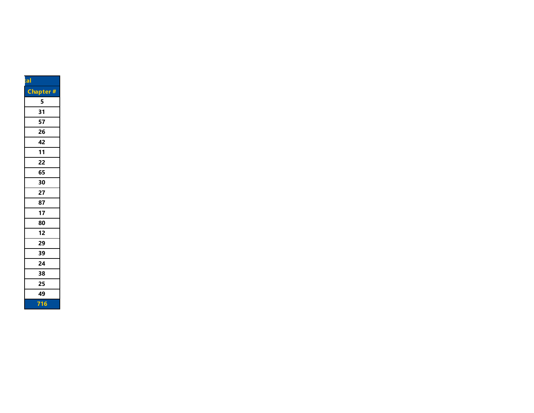| $t$ al |                 |
|--------|-----------------|
|        | <b>Chapter#</b> |
|        | 5               |
|        | 31              |
|        | 57              |
|        | 26              |
|        | 42              |
|        | 11              |
|        | 22              |
|        | 65              |
|        | 30              |
|        | 27              |
|        | 87              |
|        | 17              |
|        | 80              |
|        | 12              |
|        | 29              |
|        | 39              |
|        | 24              |
|        | 38              |
|        | 25              |
|        | 49              |
|        | 716             |
|        |                 |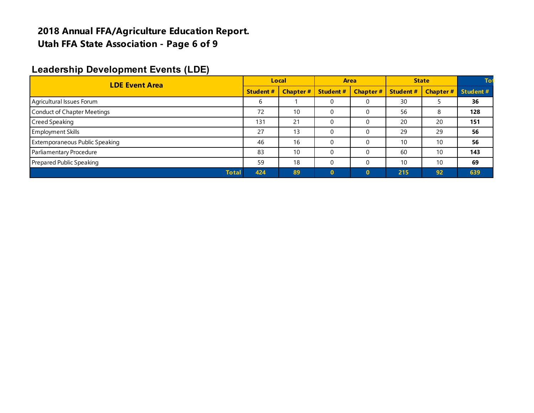#### **2018 Annual FFA/Agriculture Education Report. Utah FFA State Association - Page 6 of 9**

#### **Leadership Development Events (LDE)**

| <b>LDE Event Area</b>                 |     | Local           |                  | <b>Area</b>     |                  | <b>State</b>    |          |
|---------------------------------------|-----|-----------------|------------------|-----------------|------------------|-----------------|----------|
|                                       |     | <b>Chapter#</b> | <b>Student #</b> | <b>Chapter#</b> | <b>Student #</b> | <b>Chapter#</b> | Student# |
| Agricultural Issues Forum             | b   |                 | 0                |                 | 30               |                 | 36       |
| <b>Conduct of Chapter Meetings</b>    | 72  | 10              | C                |                 | 56               | 8               | 128      |
| Creed Speaking                        | 131 | 21              | 0                |                 | 20               | 20              | 151      |
| <b>Employment Skills</b>              | 27  | 13              | 0                |                 | 29               | 29              | 56       |
| <b>Extemporaneous Public Speaking</b> | 46  | 16              | 0                |                 | 10               | 10              | 56       |
| Parliamentary Procedure               | 83  | 10              | $\Omega$         |                 | 60               | 10              | 143      |
| Prepared Public Speaking              | 59  | 18              |                  |                 | 10               | 10              | 69       |
| <b>Total</b>                          | 424 | 89              |                  | $\Omega$        | 215              | 92              | 639      |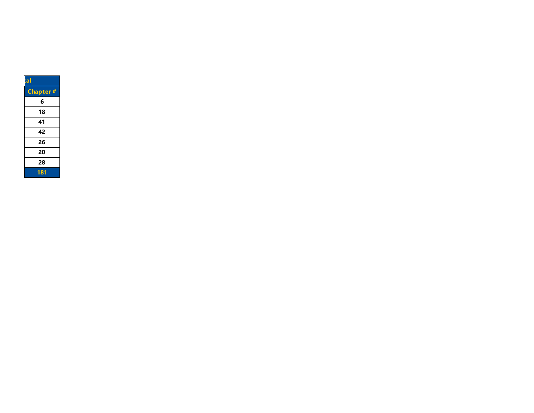| tal      |
|----------|
| Chapter# |
| 6        |
| 18       |
| 41       |
| 42       |
| 26       |
| 20       |
| 28       |
| 181      |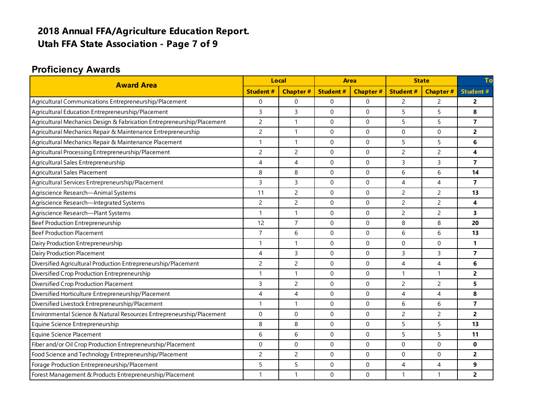# **2018 Annual FFA/Agriculture Education Report. Utah FFA State Association - Page 7 of 9**

### **Proficiency Awards**

| <b>Award Area</b><br><b>Student#</b>                                   |                | <b>Local</b>        |                  | <b>Area</b>     |                 | <b>State</b>             |                         |
|------------------------------------------------------------------------|----------------|---------------------|------------------|-----------------|-----------------|--------------------------|-------------------------|
|                                                                        |                | <b>Chapter#</b>     | <b>Student#</b>  | <b>Chapter#</b> | <b>Student#</b> | <b>Chapter#</b>          | <b>Student#</b>         |
| Agricultural Communications Entrepreneurship/Placement                 | $\mathbf 0$    | $\Omega$            | $\mathbf 0$      | $\Omega$        | $\overline{c}$  | $\overline{c}$           | $\overline{2}$          |
| Agricultural Education Entrepreneurship/Placement                      | 3              | $\overline{3}$      | $\mathbf 0$      | $\Omega$        | 5               | 5                        | 8                       |
| Agricultural Mechanics Design & Fabrication Entrepreneurship/Placement | $\overline{2}$ | $\mathbf{1}$        | $\mathbf 0$      | $\Omega$        | 5               | 5                        | $\overline{7}$          |
| Agricultural Mechanics Repair & Maintenance Entrepreneurship           | $\overline{c}$ | $\mathbf{1}$        | $\mathbf 0$      | $\Omega$        | 0               | 0                        | $\overline{2}$          |
| Agricultural Mechanics Repair & Maintenance Placement                  | $\mathbf{1}$   | $\mathbf{1}$        | $\boldsymbol{0}$ | $\Omega$        | 5               | 5                        | 6                       |
| Agricultural Processing Entrepreneurship/Placement                     | $\overline{c}$ | $\overline{2}$      | $\boldsymbol{0}$ | $\Omega$        | $\overline{c}$  | $\overline{2}$           | 4                       |
| Agricultural Sales Entrepreneurship                                    | 4              | $\overline{4}$      | $\mathbf 0$      | $\Omega$        | 3               | 3                        | $\overline{\mathbf{z}}$ |
| Agricultural Sales Placement                                           | 8              | 8                   | $\Omega$         | $\Omega$        | 6               | 6                        | 14                      |
| Agricultural Services Entrepreneurship/Placement                       | 3              | 3                   | $\Omega$         | $\Omega$        | 4               | $\overline{4}$           | $\overline{7}$          |
| Agriscience Research-Animal Systems                                    | 11             | $\overline{c}$      | $\Omega$         | $\Omega$        | $\overline{c}$  | $\overline{c}$           | 13                      |
| Agriscience Research-Integrated Systems                                | 2              | $\overline{2}$      | $\Omega$         | $\Omega$        | $\overline{c}$  | $\overline{c}$           | 4                       |
| Agriscience Research-Plant Systems                                     | 1              | $\mathbf{1}$        | $\Omega$         | $\Omega$        | $\overline{c}$  | $\overline{2}$           | 3                       |
| Beef Production Entrepreneurship                                       | 12             | $\overline{7}$      | $\Omega$         | $\Omega$        | 8               | 8                        | 20                      |
| <b>Beef Production Placement</b>                                       | $\overline{7}$ | 6                   | $\Omega$         | $\Omega$        | 6               | 6                        | 13                      |
| Dairy Production Entrepreneurship                                      | 1              | $\mathbf{1}$        | $\Omega$         | $\Omega$        | $\Omega$        | $\mathbf{0}$             | 1                       |
| Dairy Production Placement                                             | $\overline{4}$ | 3                   | $\mathbf{0}$     | $\Omega$        | $\overline{3}$  | 3                        | $\overline{\mathbf{z}}$ |
| Diversified Agricultural Production Entrepreneurship/Placement         | $\overline{c}$ | $\overline{c}$      | $\mathbf 0$      | $\mathbf 0$     | 4               | $\overline{\mathcal{A}}$ | 6                       |
| Diversified Crop Production Entrepreneurship                           | $\mathbf{1}$   | $\mathbf{1}$        | $\Omega$         | $\Omega$        | $\mathbf{1}$    | $\mathbf{1}$             | $\overline{2}$          |
| Diversified Crop Production Placement                                  | $\overline{3}$ | $\overline{2}$      | $\Omega$         | $\Omega$        | $\overline{c}$  | $\overline{c}$           | 5                       |
| Diversified Horticulture Entrepreneurship/Placement                    | $\overline{4}$ | $\overline{4}$      | $\Omega$         | $\Omega$        | $\overline{4}$  | 4                        | 8                       |
| Diversified Livestock Entrepreneurship/Placement                       | $\mathbf{1}$   | $\mathbf{1}$        | $\boldsymbol{0}$ | $\mathbf 0$     | 6               | 6                        | $\overline{\mathbf{z}}$ |
| Environmental Science & Natural Resources Entrepreneurship/Placement   | $\mathbf 0$    | $\mathbf 0$         | $\mathbf 0$      | $\Omega$        | $\overline{c}$  | $\overline{c}$           | $\overline{2}$          |
| Equine Science Entrepreneurship                                        | 8              | 8                   | $\mathbf 0$      | $\Omega$        | 5               | 5                        | 13                      |
| <b>Equine Science Placement</b>                                        | 6              | 6                   | $\Omega$         | $\Omega$        | 5               | 5                        | 11                      |
| Fiber and/or Oil Crop Production Entrepreneurship/Placement            | $\mathbf 0$    | $\mathsf{O}\xspace$ | 0                | 0               | $\mathbf 0$     | 0                        | $\mathbf{0}$            |
| Food Science and Technology Entrepreneurship/Placement                 | $\overline{c}$ | $\overline{c}$      | $\mathbf 0$      | $\mathbf 0$     | 0               | 0                        | $\overline{2}$          |
| Forage Production Entrepreneurship/Placement                           | 5              | 5                   | $\mathbf 0$      | $\Omega$        | 4               | $\overline{4}$           | 9                       |
| Forest Management & Products Entrepreneurship/Placement                | 1              | $\mathbf{1}$        | $\Omega$         | $\Omega$        | $\mathbf{1}$    | 1                        | $\overline{2}$          |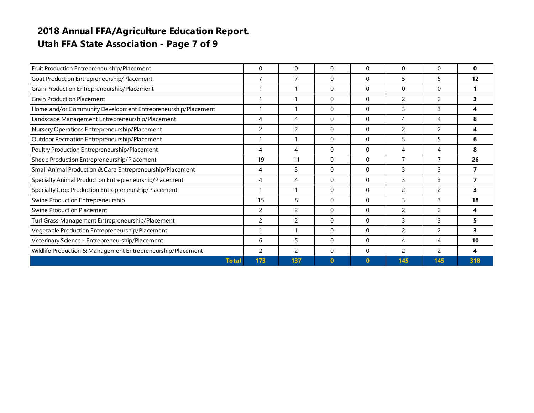### **2018 Annual FFA/Agriculture Education Report. Utah FFA State Association - Page 7 of 9**

| Fruit Production Entrepreneurship/Placement                  | 0              | 0              | $\Omega$     | 0           | 0                        | 0             | $\bf{0}$ |
|--------------------------------------------------------------|----------------|----------------|--------------|-------------|--------------------------|---------------|----------|
| Goat Production Entrepreneurship/Placement                   | 7              | $\overline{7}$ | $\Omega$     | 0           | 5                        | 5             | 12       |
| Grain Production Entrepreneurship/Placement                  |                |                | $\Omega$     | 0           | 0                        | 0             |          |
| <b>Grain Production Placement</b>                            |                |                | $\Omega$     | 0           | 2                        | 2             |          |
| Home and/or Community Development Entrepreneurship/Placement |                |                | $\Omega$     | 0           | 3                        | 3             | 4        |
| Landscape Management Entrepreneurship/Placement              | 4              | 4              | $\Omega$     | $\Omega$    | 4                        | 4             | 8        |
| Nursery Operations Entrepreneurship/Placement                | $\overline{c}$ | 2              | $\Omega$     | 0           | 2                        | 2             | 4        |
| Outdoor Recreation Entrepreneurship/Placement                |                |                | $\Omega$     | $\Omega$    | 5                        | 5             | 6        |
| Poultry Production Entrepreneurship/Placement                | 4              | 4              | $\mathbf{0}$ | 0           | 4                        | 4             | 8        |
| Sheep Production Entrepreneurship/Placement                  | 19             | 11             | $\Omega$     | 0           | $\overline{7}$           | 7             | 26       |
| Small Animal Production & Care Entrepreneurship/Placement    | 4              | 3              | $\Omega$     | $\Omega$    | 3                        | 3             | 7        |
| Specialty Animal Production Entrepreneurship/Placement       | 4              | 4              | $\Omega$     | 0           | 3                        | 3             | 7        |
| Specialty Crop Production Entrepreneurship/Placement         | 1              |                | $\Omega$     | $\Omega$    | 2                        | 2             | 3.       |
| Swine Production Entrepreneurship                            | 15             | 8              | $\Omega$     | 0           | 3                        | 3             | 18       |
| <b>Swine Production Placement</b>                            | $\mathcal{P}$  | 2              | $\Omega$     | $\Omega$    | $\overline{\phantom{a}}$ | $\mathcal{P}$ | 4        |
| Turf Grass Management Entrepreneurship/Placement             | 2              | 2              | $\Omega$     | 0           | 3                        | 3             | 5.       |
| Vegetable Production Entrepreneurship/Placement              | 1              |                | $\Omega$     | $\mathbf 0$ | 2                        | 2             | 3.       |
| Veterinary Science - Entrepreneurship/Placement              | 6              | 5              | $\Omega$     | 0           | 4                        | 4             | 10       |
| Wildlife Production & Management Entrepreneurship/Placement  | 2              | 2              | $\Omega$     | 0           | 2                        | 2             | 4        |
| <b>Total</b>                                                 | 173            | 137            | $\bf{0}$     | $\bf{0}$    | 145                      | 145           | 318      |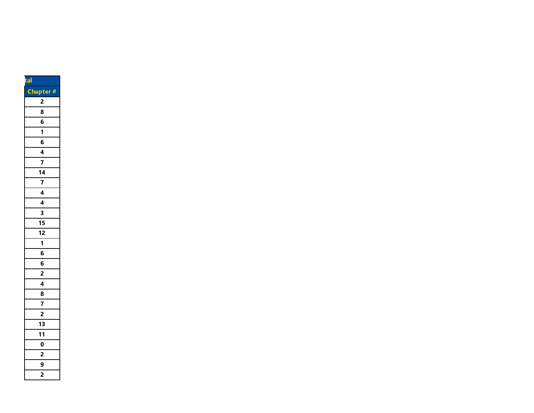| tal                     |
|-------------------------|
| <b>Chapter</b><br>#     |
| 2                       |
| 8                       |
| 6                       |
| $\overline{\mathbf{1}}$ |
| 6                       |
| $\frac{4}{7}$           |
|                         |
| $\frac{1}{4}$           |
| $\overline{7}$          |
| $\overline{4}$          |
| 4                       |
| 3                       |
| 15                      |
| 12                      |
| 1                       |
| $\overline{\bf{6}}$     |
| $\overline{6}$          |
|                         |
| $\frac{2}{4}$           |
|                         |
| $\overline{7}$          |
| $\overline{2}$          |
| $\overline{\mathbf{1}}$ |
| 11                      |
| $\overline{\mathbf{0}}$ |
| $\frac{2}{\sqrt{2}}$    |
| $\frac{9}{2}$           |
|                         |
|                         |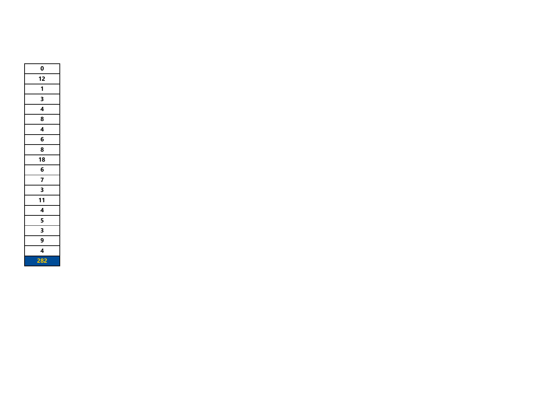| 0              |
|----------------|
| 12             |
| 1              |
| 3              |
| 4              |
| 8              |
| $\overline{4}$ |
| 6              |
| 8              |
| 18             |
| 6              |
| 7              |
|                |
| 11             |
| $\overline{4}$ |
| 5              |
| 3              |
| 9              |
| 4              |
| 282            |
|                |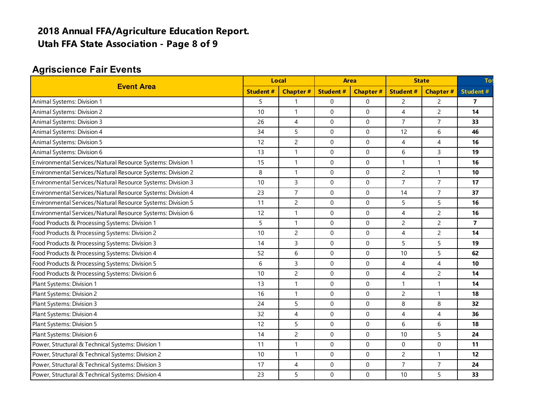### **2018 Annual FFA/Agriculture Education Report. Utah FFA State Association - Page 8 of 9**

### **Agriscience Fair Events**

| <b>Event Area</b>                                           |    | Local                    |                 | <b>Area</b>     |                 | <b>State</b>    |                         |
|-------------------------------------------------------------|----|--------------------------|-----------------|-----------------|-----------------|-----------------|-------------------------|
|                                                             |    | <b>Chapter#</b>          | <b>Student#</b> | <b>Chapter#</b> | <b>Student#</b> | <b>Chapter#</b> | <b>Student#</b>         |
| Animal Systems: Division 1                                  | 5  | $\mathbf{1}$             | 0               | 0               | $\overline{c}$  | $\overline{c}$  | $\overline{\mathbf{z}}$ |
| Animal Systems: Division 2                                  | 10 | $\mathbf{1}$             | 0               | 0               | $\overline{4}$  | $\overline{c}$  | 14                      |
| Animal Systems: Division 3                                  | 26 | 4                        | 0               | $\Omega$        | $\overline{7}$  | $\overline{7}$  | 33                      |
| Animal Systems: Division 4                                  | 34 | 5                        | 0               | 0               | 12              | 6               | 46                      |
| Animal Systems: Division 5                                  | 12 | $\overline{c}$           | 0               | 0               | 4               | $\overline{4}$  | 16                      |
| Animal Systems: Division 6                                  | 13 | $\mathbf{1}$             | $\Omega$        | $\Omega$        | 6               | $\mathsf{3}$    | 19                      |
| Environmental Services/Natural Resource Systems: Division 1 | 15 | $\mathbf{1}$             | 0               | 0               | $\mathbf{1}$    | $\mathbf{1}$    | 16                      |
| Environmental Services/Natural Resource Systems: Division 2 | 8  | $\mathbf{1}$             | 0               | $\Omega$        | $\overline{2}$  | $\mathbf{1}$    | 10                      |
| Environmental Services/Natural Resource Systems: Division 3 | 10 | $\overline{3}$           | 0               | $\Omega$        | $\overline{7}$  | $\overline{7}$  | 17                      |
| Environmental Services/Natural Resource Systems: Division 4 | 23 | $\overline{7}$           | $\Omega$        | $\Omega$        | 14              | $\overline{7}$  | 37                      |
| Environmental Services/Natural Resource Systems: Division 5 | 11 | $\overline{c}$           | $\Omega$        | $\Omega$        | 5               | 5               | 16                      |
| Environmental Services/Natural Resource Systems: Division 6 | 12 | $\mathbf{1}$             | 0               | $\mathbf{0}$    | $\overline{4}$  | $\overline{c}$  | 16                      |
| Food Products & Processing Systems: Division 1              | 5  | $\mathbf{1}$             | 0               | 0               | $\overline{c}$  | $\overline{c}$  | $\overline{7}$          |
| Food Products & Processing Systems: Division 2              | 10 | $\overline{c}$           | $\Omega$        | $\mathbf{0}$    | $\overline{4}$  | $\overline{c}$  | 14                      |
| Food Products & Processing Systems: Division 3              | 14 | $\overline{3}$           | 0               | 0               | 5               | 5               | 19                      |
| Food Products & Processing Systems: Division 4              | 52 | 6                        | 0               | $\Omega$        | 10              | 5               | 62                      |
| Food Products & Processing Systems: Division 5              | 6  | $\overline{3}$           | 0               | 0               | $\overline{4}$  | $\overline{4}$  | 10                      |
| Food Products & Processing Systems: Division 6              | 10 | $\overline{c}$           | 0               | 0               | $\overline{4}$  | $\overline{2}$  | 14                      |
| Plant Systems: Division 1                                   | 13 | $\mathbf{1}$             | 0               | $\Omega$        | $\overline{1}$  | $\mathbf{1}$    | 14                      |
| Plant Systems: Division 2                                   | 16 | $\mathbf{1}$             | 0               | $\Omega$        | $\overline{c}$  | $\mathbf{1}$    | 18                      |
| Plant Systems: Division 3                                   | 24 | 5                        | 0               | 0               | 8               | 8               | 32                      |
| Plant Systems: Division 4                                   | 32 | $\overline{\mathcal{A}}$ | $\mathbf 0$     | 0               | $\overline{4}$  | $\overline{4}$  | 36                      |
| Plant Systems: Division 5                                   | 12 | 5                        | 0               | 0               | 6               | 6               | 18                      |
| Plant Systems: Division 6                                   | 14 | $\overline{c}$           | 0               | 0               | 10              | 5               | 24                      |
| Power, Structural & Technical Systems: Division 1           | 11 | $\mathbf{1}$             | 0               | $\mathbf{0}$    | $\mathbf 0$     | $\mathbf 0$     | 11                      |
| Power, Structural & Technical Systems: Division 2           | 10 | $\mathbf{1}$             | 0               | 0               | $\overline{c}$  | $\mathbf{1}$    | 12                      |
| Power, Structural & Technical Systems: Division 3           | 17 | 4                        | 0               | 0               | $\overline{7}$  | $\overline{7}$  | 24                      |
| Power, Structural & Technical Systems: Division 4           | 23 | 5                        | 0               | $\Omega$        | 10              | 5               | 33                      |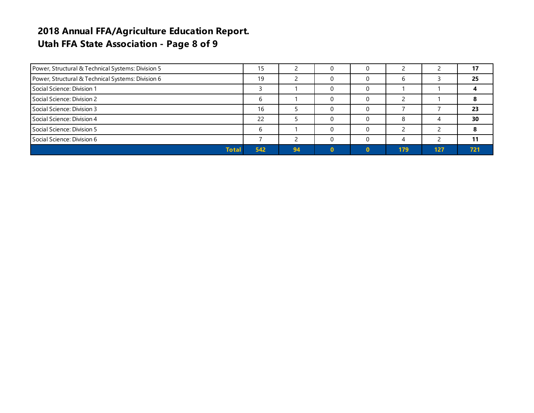### **2018 Annual FFA/Agriculture Education Report. Utah FFA State Association - Page 8 of 9**

| Power, Structural & Technical Systems: Division 5 | 15  |    |  |     |     |     |
|---------------------------------------------------|-----|----|--|-----|-----|-----|
| Power, Structural & Technical Systems: Division 6 | 19  |    |  |     |     | 25  |
| Social Science: Division 1                        |     |    |  |     |     |     |
| Social Science: Division 2                        |     |    |  |     |     |     |
| Social Science: Division 3                        | 16  |    |  |     |     | 23  |
| Social Science: Division 4                        | 22  |    |  |     |     | 30  |
| Social Science: Division 5                        |     |    |  |     |     |     |
| Social Science: Division 6                        |     |    |  |     |     |     |
| <b>Total</b>                                      | 542 | 94 |  | 179 | 127 | 721 |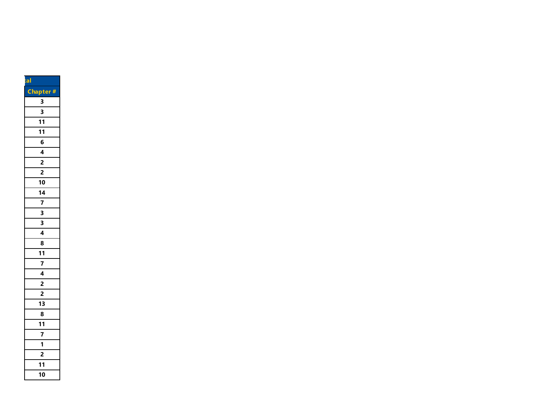| tal                          |
|------------------------------|
| Chapter#                     |
| 3                            |
| 3                            |
| 11                           |
| 11                           |
| 6                            |
|                              |
|                              |
| $\frac{4}{2}$ $\frac{2}{2}$  |
| 10                           |
| $\frac{14}{7}$ $\frac{7}{3}$ |
|                              |
|                              |
|                              |
| $\frac{3}{4}$                |
| 8                            |
| 11                           |
|                              |
|                              |
| $\frac{4}{2}$                |
| $\overline{2}$               |
| 13                           |
| 8                            |
| $\frac{11}{1}$               |
| 7                            |
| 1                            |
| $\frac{1}{2}$                |
| 11                           |
| 10                           |
|                              |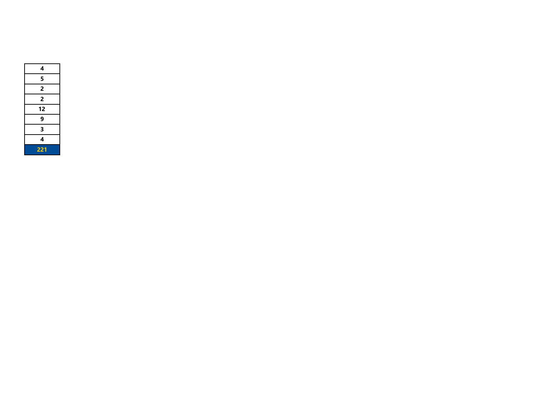| 4   |
|-----|
| 5   |
| 2   |
| 2   |
| 12  |
| 9   |
| 3   |
| 4   |
| 221 |